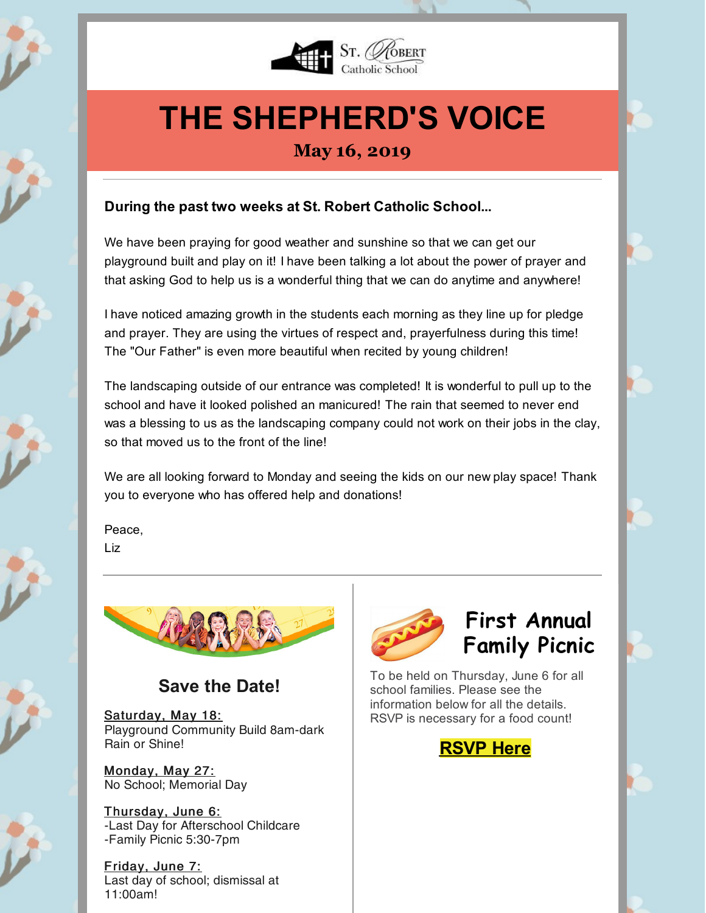

# **THE SHEPHERD'S VOICE**

### **May 16, 2019**

#### **During the past two weeks at St. Robert Catholic School...**

We have been praying for good weather and sunshine so that we can get our playground built and play on it! I have been talking a lot about the power of prayer and that asking God to help us is a wonderful thing that we can do anytime and anywhere!

I have noticed amazing growth in the students each morning as they line up for pledge and prayer. They are using the virtues of respect and, prayerfulness during this time! The "Our Father" is even more beautiful when recited by young children!

The landscaping outside of our entrance was completed! It is wonderful to pull up to the school and have it looked polished an manicured! The rain that seemed to never end was a blessing to us as the landscaping company could not work on their jobs in the clay, so that moved us to the front of the line!

We are all looking forward to Monday and seeing the kids on our new play space! Thank you to everyone who has offered help and donations!

Peace, Liz



### **Save the Date!**

Saturday, May 18: Playground Community Build 8am-dark Rain or Shine!

Monday, May 27: No School; Memorial Day

Thursday, June 6: -Last Day for Afterschool Childcare -Family Picnic 5:30-7pm

Friday, June 7: Last day of school; dismissal at 11:00am!



### **First Annual Family Picnic**

To be held on Thursday, June 6 for all school families. Please see the information below for all the details. RSVP is necessary for a food count!